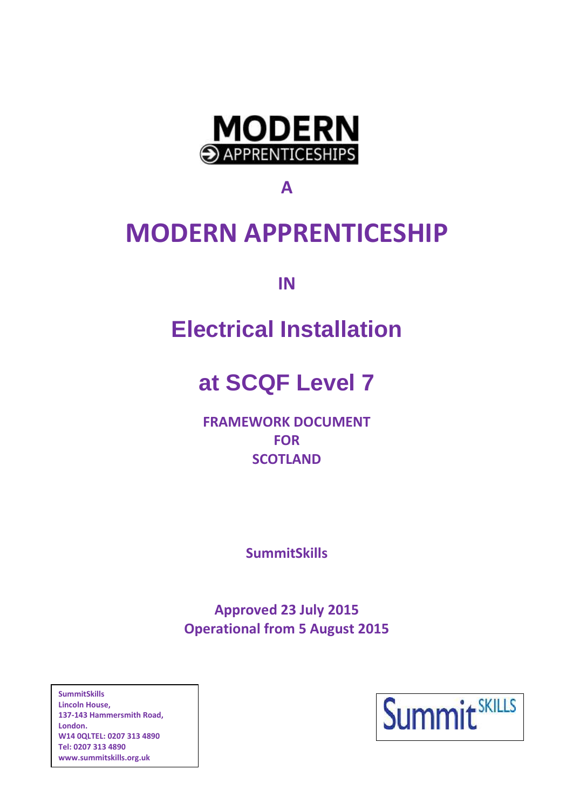

**A**

# **MODERN APPRENTICESHIP**

**IN**

# **Electrical Installation**

# **at SCQF Level 7**

**FRAMEWORK DOCUMENT FOR SCOTLAND**

**SummitSkills**

**Approved 23 July 2015 Operational from 5 August 2015**

**SummitSkills Lincoln House, 137-143 Hammersmith Road, London. W14 0QLTEL: 0207 313 4890 Tel: 0207 313 4890 [www.summitskills.org.uk](http://www.summitskills.org.uk/)**

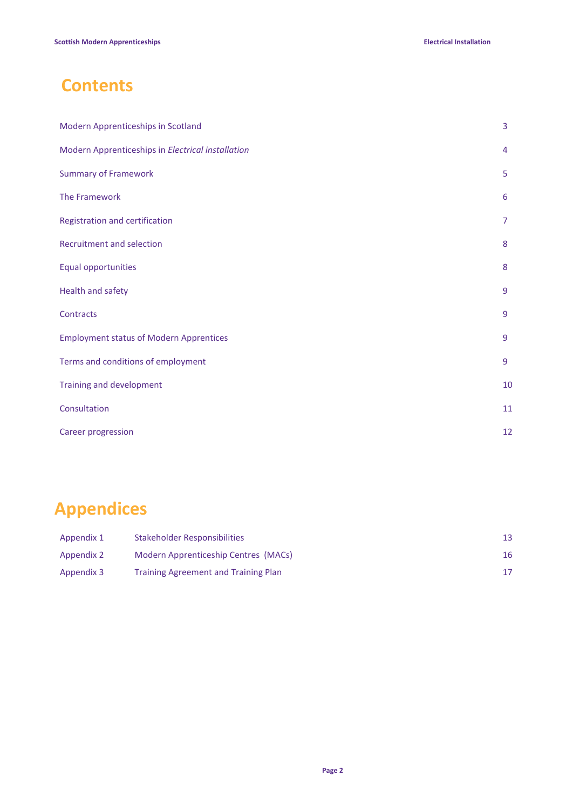# **Contents**

| Modern Apprenticeships in Scotland                | 3  |
|---------------------------------------------------|----|
| Modern Apprenticeships in Electrical installation | 4  |
| <b>Summary of Framework</b>                       | 5  |
| The Framework                                     | 6  |
| Registration and certification                    | 7  |
| Recruitment and selection                         | 8  |
| Equal opportunities                               | 8  |
| Health and safety                                 | 9  |
| Contracts                                         | 9  |
| <b>Employment status of Modern Apprentices</b>    | 9  |
| Terms and conditions of employment                | 9  |
| Training and development                          | 10 |
| Consultation                                      | 11 |
| <b>Career progression</b>                         | 12 |

# **Appendices**

| Appendix 1 | Stakeholder Responsibilities                |    |
|------------|---------------------------------------------|----|
| Appendix 2 | Modern Apprenticeship Centres (MACs)        | 16 |
| Appendix 3 | <b>Training Agreement and Training Plan</b> |    |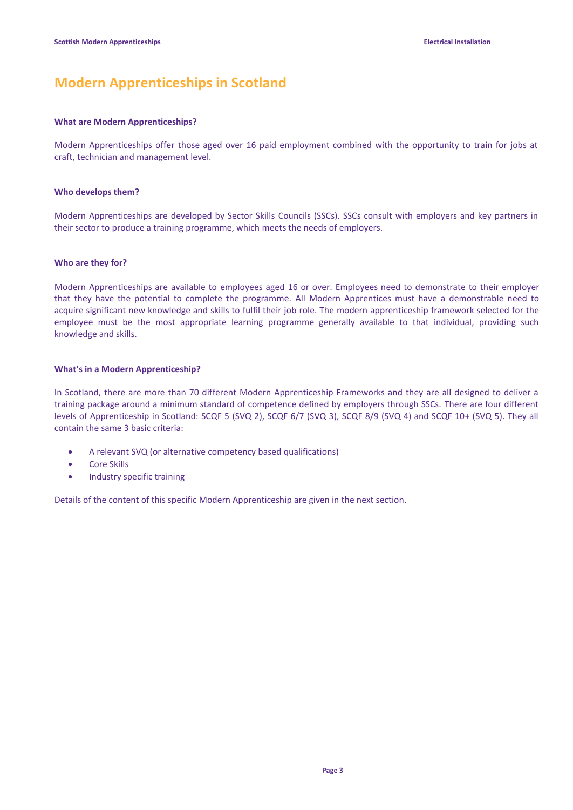# **Modern Apprenticeships in Scotland**

### **What are Modern Apprenticeships?**

Modern Apprenticeships offer those aged over 16 paid employment combined with the opportunity to train for jobs at craft, technician and management level.

### **Who develops them?**

Modern Apprenticeships are developed by Sector Skills Councils (SSCs). SSCs consult with employers and key partners in their sector to produce a training programme, which meets the needs of employers.

### **Who are they for?**

Modern Apprenticeships are available to employees aged 16 or over. Employees need to demonstrate to their employer that they have the potential to complete the programme. All Modern Apprentices must have a demonstrable need to acquire significant new knowledge and skills to fulfil their job role. The modern apprenticeship framework selected for the employee must be the most appropriate learning programme generally available to that individual, providing such knowledge and skills.

### **What's in a Modern Apprenticeship?**

In Scotland, there are more than 70 different Modern Apprenticeship Frameworks and they are all designed to deliver a training package around a minimum standard of competence defined by employers through SSCs. There are four different levels of Apprenticeship in Scotland: SCQF 5 (SVQ 2), SCQF 6/7 (SVQ 3), SCQF 8/9 (SVQ 4) and SCQF 10+ (SVQ 5). They all contain the same 3 basic criteria:

- A relevant SVQ (or alternative competency based qualifications)
- Core Skills
- **•** Industry specific training

Details of the content of this specific Modern Apprenticeship are given in the next section.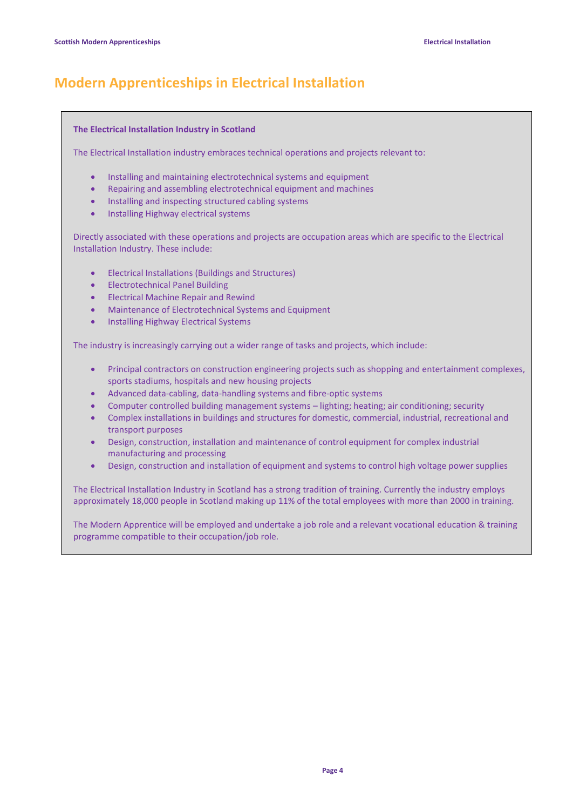# **Modern Apprenticeships in Electrical Installation**

### **The Electrical Installation Industry in Scotland**

The Electrical Installation industry embraces technical operations and projects relevant to:

- Installing and maintaining electrotechnical systems and equipment
- Repairing and assembling electrotechnical equipment and machines
- Installing and inspecting structured cabling systems
- Installing Highway electrical systems

Directly associated with these operations and projects are occupation areas which are specific to the Electrical Installation Industry. These include:

- Electrical Installations (Buildings and Structures)
- **•** Electrotechnical Panel Building
- **•** Electrical Machine Repair and Rewind
- Maintenance of Electrotechnical Systems and Equipment
- **•** Installing Highway Electrical Systems

The industry is increasingly carrying out a wider range of tasks and projects, which include:

- Principal contractors on construction engineering projects such as shopping and entertainment complexes, sports stadiums, hospitals and new housing projects
- Advanced data-cabling, data-handling systems and fibre-optic systems
- Computer controlled building management systems lighting; heating; air conditioning; security
- Complex installations in buildings and structures for domestic, commercial, industrial, recreational and transport purposes
- Design, construction, installation and maintenance of control equipment for complex industrial manufacturing and processing
- Design, construction and installation of equipment and systems to control high voltage power supplies

The Electrical Installation Industry in Scotland has a strong tradition of training. Currently the industry employs approximately 18,000 people in Scotland making up 11% of the total employees with more than 2000 in training.

The Modern Apprentice will be employed and undertake a job role and a relevant vocational education & training programme compatible to their occupation/job role.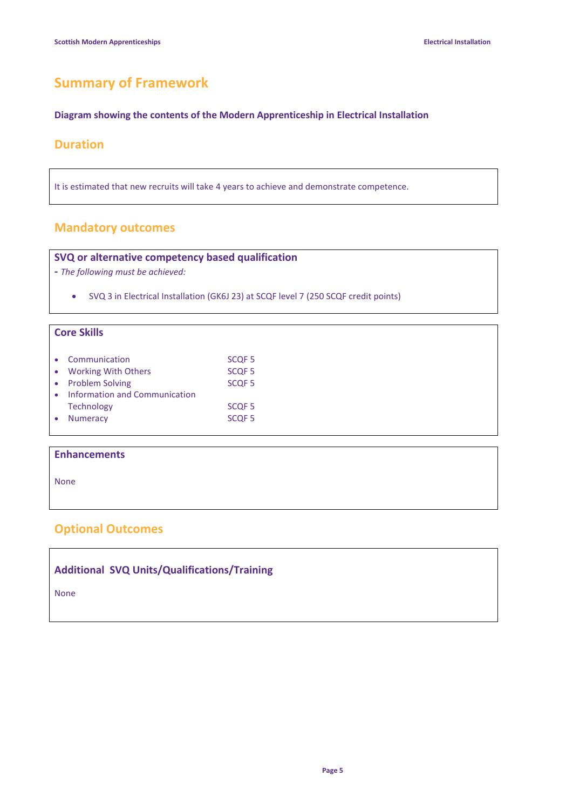# **Summary of Framework**

### **Diagram showing the contents of the Modern Apprenticeship in Electrical Installation**

### **Duration**

It is estimated that new recruits will take 4 years to achieve and demonstrate competence.

### **Mandatory outcomes**

### **SVQ or alternative competency based qualification**

**-** *The following must be achieved:*

SVQ 3 in Electrical Installation (GK6J 23) at SCQF level 7 (250 SCQF credit points)

### **Core Skills**

| Communication                 | SCQF <sub>5</sub> |
|-------------------------------|-------------------|
| • Working With Others         | SCQF <sub>5</sub> |
| • Problem Solving             | <b>SCQF5</b>      |
| Information and Communication |                   |
| <b>Technology</b>             | SCOF <sub>5</sub> |
| <b>Numeracy</b>               | SCQF <sub>5</sub> |

### **Enhancements**

None

### **Optional Outcomes**

|  |  | <b>Additional SVQ Units/Qualifications/Training</b> |  |
|--|--|-----------------------------------------------------|--|
|--|--|-----------------------------------------------------|--|

None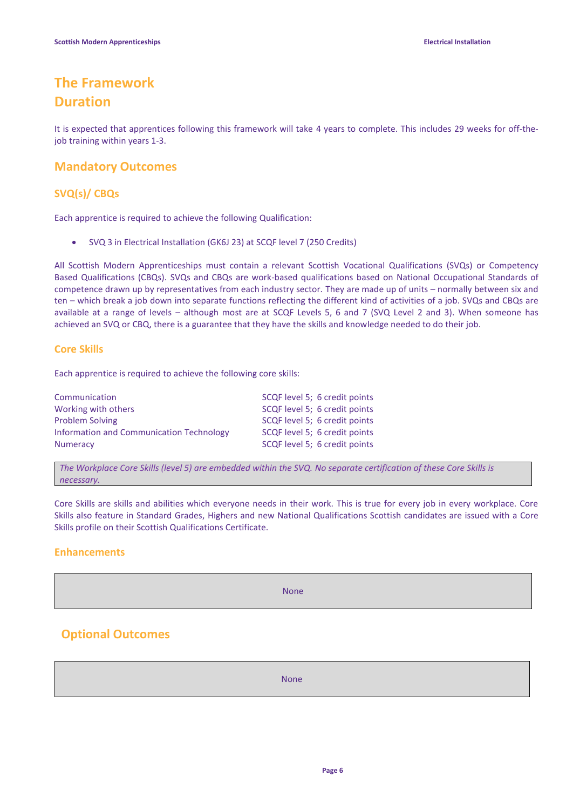# **The Framework Duration**

It is expected that apprentices following this framework will take 4 years to complete. This includes 29 weeks for off-thejob training within years 1-3.

### **Mandatory Outcomes**

### **SVQ(s)/ CBQs**

Each apprentice is required to achieve the following Qualification:

SVQ 3 in Electrical Installation (GK6J 23) at SCQF level 7 (250 Credits)

All Scottish Modern Apprenticeships must contain a relevant Scottish Vocational Qualifications (SVQs) or Competency Based Qualifications (CBQs). SVQs and CBQs are work-based qualifications based on National Occupational Standards of competence drawn up by representatives from each industry sector. They are made up of units – normally between six and ten – which break a job down into separate functions reflecting the different kind of activities of a job. SVQs and CBQs are available at a range of levels – although most are at SCQF Levels 5, 6 and 7 (SVQ Level 2 and 3). When someone has achieved an SVQ or CBQ, there is a guarantee that they have the skills and knowledge needed to do their job.

### **Core Skills**

Each apprentice is required to achieve the following core skills:

| Communication                            | SCQF level 5; 6 credit points |
|------------------------------------------|-------------------------------|
| Working with others                      | SCQF level 5; 6 credit points |
| <b>Problem Solving</b>                   | SCQF level 5; 6 credit points |
| Information and Communication Technology | SCQF level 5; 6 credit points |
| <b>Numeracy</b>                          | SCQF level 5; 6 credit points |

*The Workplace Core Skills (level 5) are embedded within the SVQ. No separate certification of these Core Skills is necessary.*

Core Skills are skills and abilities which everyone needs in their work. This is true for every job in every workplace. Core Skills also feature in Standard Grades, Highers and new National Qualifications Scottish candidates are issued with a Core Skills profile on their Scottish Qualifications Certificate.

### **Enhancements**

None

### **Optional Outcomes**

None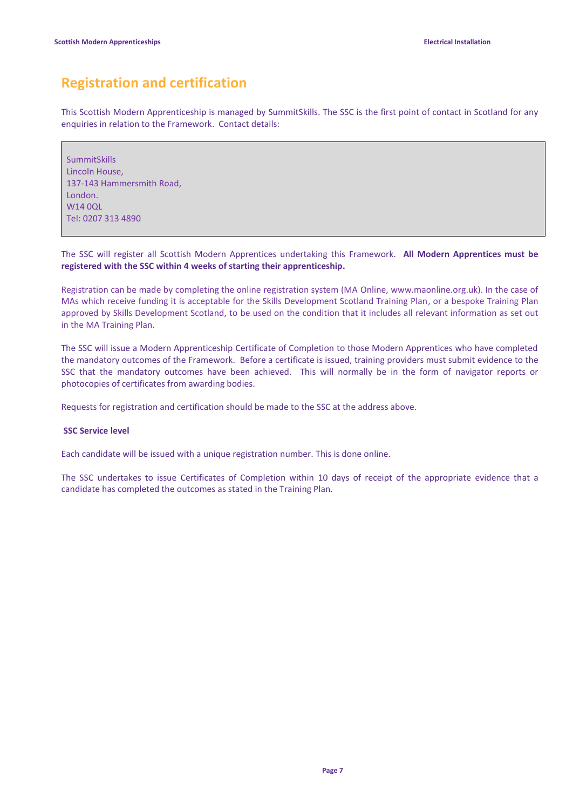# **Registration and certification**

This Scottish Modern Apprenticeship is managed by SummitSkills. The SSC is the first point of contact in Scotland for any enquiries in relation to the Framework. Contact details:

SummitSkills Lincoln House, 137-143 Hammersmith Road, London. W14 0QL Tel: 0207 313 4890

### The SSC will register all Scottish Modern Apprentices undertaking this Framework. **All Modern Apprentices must be registered with the SSC within 4 weeks of starting their apprenticeship.**

Registration can be made by completing the online registration system (MA Online, www.maonline.org.uk). In the case of MAs which receive funding it is acceptable for the Skills Development Scotland Training Plan, or a bespoke Training Plan approved by Skills Development Scotland, to be used on the condition that it includes all relevant information as set out in the MA Training Plan.

The SSC will issue a Modern Apprenticeship Certificate of Completion to those Modern Apprentices who have completed the mandatory outcomes of the Framework. Before a certificate is issued, training providers must submit evidence to the SSC that the mandatory outcomes have been achieved. This will normally be in the form of navigator reports or photocopies of certificates from awarding bodies.

Requests for registration and certification should be made to the SSC at the address above.

### **SSC Service level**

Each candidate will be issued with a unique registration number. This is done online.

The SSC undertakes to issue Certificates of Completion within 10 days of receipt of the appropriate evidence that a candidate has completed the outcomes as stated in the Training Plan.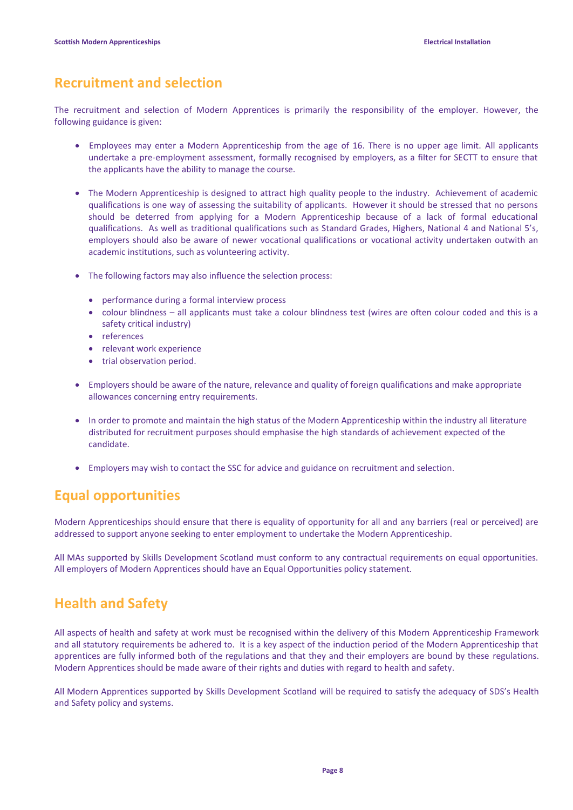## **Recruitment and selection**

The recruitment and selection of Modern Apprentices is primarily the responsibility of the employer. However, the following guidance is given:

- Employees may enter a Modern Apprenticeship from the age of 16. There is no upper age limit. All applicants undertake a pre-employment assessment, formally recognised by employers, as a filter for SECTT to ensure that the applicants have the ability to manage the course.
- The Modern Apprenticeship is designed to attract high quality people to the industry. Achievement of academic qualifications is one way of assessing the suitability of applicants. However it should be stressed that no persons should be deterred from applying for a Modern Apprenticeship because of a lack of formal educational qualifications. As well as traditional qualifications such as Standard Grades, Highers, National 4 and National 5's, employers should also be aware of newer vocational qualifications or vocational activity undertaken outwith an academic institutions, such as volunteering activity.
- The following factors may also influence the selection process:
	- performance during a formal interview process
	- colour blindness all applicants must take a colour blindness test (wires are often colour coded and this is a safety critical industry)
	- references
	- relevant work experience
	- trial observation period.
- Employers should be aware of the nature, relevance and quality of foreign qualifications and make appropriate allowances concerning entry requirements.
- In order to promote and maintain the high status of the Modern Apprenticeship within the industry all literature distributed for recruitment purposes should emphasise the high standards of achievement expected of the candidate.
- Employers may wish to contact the SSC for advice and guidance on recruitment and selection.

# **Equal opportunities**

Modern Apprenticeships should ensure that there is equality of opportunity for all and any barriers (real or perceived) are addressed to support anyone seeking to enter employment to undertake the Modern Apprenticeship.

All MAs supported by Skills Development Scotland must conform to any contractual requirements on equal opportunities. All employers of Modern Apprentices should have an Equal Opportunities policy statement.

# **Health and Safety**

All aspects of health and safety at work must be recognised within the delivery of this Modern Apprenticeship Framework and all statutory requirements be adhered to. It is a key aspect of the induction period of the Modern Apprenticeship that apprentices are fully informed both of the regulations and that they and their employers are bound by these regulations. Modern Apprentices should be made aware of their rights and duties with regard to health and safety.

All Modern Apprentices supported by Skills Development Scotland will be required to satisfy the adequacy of SDS's Health and Safety policy and systems.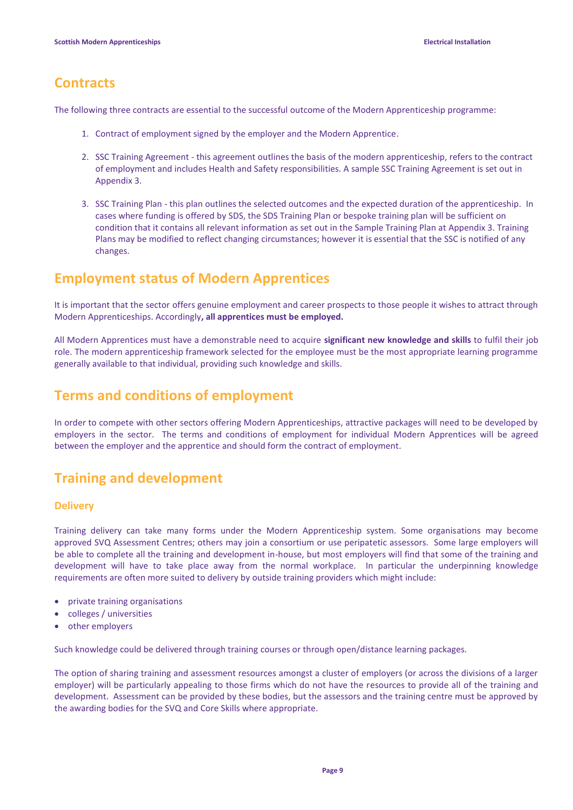## **Contracts**

The following three contracts are essential to the successful outcome of the Modern Apprenticeship programme:

- 1. Contract of employment signed by the employer and the Modern Apprentice.
- 2. SSC Training Agreement this agreement outlines the basis of the modern apprenticeship, refers to the contract of employment and includes Health and Safety responsibilities. A sample SSC Training Agreement is set out in Appendix 3.
- 3. SSC Training Plan this plan outlines the selected outcomes and the expected duration of the apprenticeship. In cases where funding is offered by SDS, the SDS Training Plan or bespoke training plan will be sufficient on condition that it contains all relevant information as set out in the Sample Training Plan at Appendix 3. Training Plans may be modified to reflect changing circumstances; however it is essential that the SSC is notified of any changes.

## **Employment status of Modern Apprentices**

It is important that the sector offers genuine employment and career prospects to those people it wishes to attract through Modern Apprenticeships. Accordingly**, all apprentices must be employed.**

All Modern Apprentices must have a demonstrable need to acquire **significant new knowledge and skills** to fulfil their job role. The modern apprenticeship framework selected for the employee must be the most appropriate learning programme generally available to that individual, providing such knowledge and skills.

## **Terms and conditions of employment**

In order to compete with other sectors offering Modern Apprenticeships, attractive packages will need to be developed by employers in the sector. The terms and conditions of employment for individual Modern Apprentices will be agreed between the employer and the apprentice and should form the contract of employment.

## **Training and development**

### **Delivery**

Training delivery can take many forms under the Modern Apprenticeship system. Some organisations may become approved SVQ Assessment Centres; others may join a consortium or use peripatetic assessors. Some large employers will be able to complete all the training and development in-house, but most employers will find that some of the training and development will have to take place away from the normal workplace. In particular the underpinning knowledge requirements are often more suited to delivery by outside training providers which might include:

- private training organisations
- colleges / universities
- other employers

Such knowledge could be delivered through training courses or through open/distance learning packages.

The option of sharing training and assessment resources amongst a cluster of employers (or across the divisions of a larger employer) will be particularly appealing to those firms which do not have the resources to provide all of the training and development. Assessment can be provided by these bodies, but the assessors and the training centre must be approved by the awarding bodies for the SVQ and Core Skills where appropriate.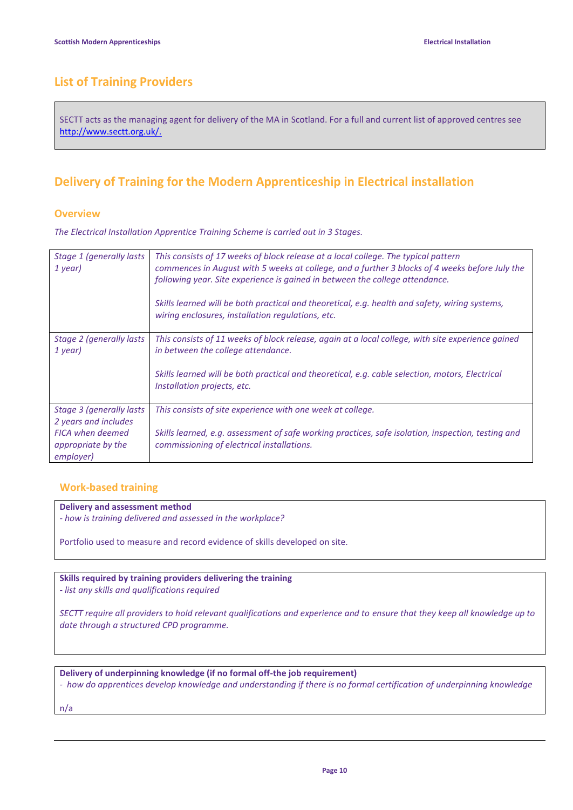## **List of Training Providers**

SECTT acts as the managing agent for delivery of the MA in Scotland. For a full and current list of approved centres see [http://www.sectt.org.uk/.](http://www.sectt.org.uk/)

## **Delivery of Training for the Modern Apprenticeship in Electrical installation**

### **Overview**

*The Electrical Installation Apprentice Training Scheme is carried out in 3 Stages.*

| Stage 1 (generally lasts)<br>1 year)                                                                            | This consists of 17 weeks of block release at a local college. The typical pattern<br>commences in August with 5 weeks at college, and a further 3 blocks of 4 weeks before July the<br>following year. Site experience is gained in between the college attendance.<br>Skills learned will be both practical and theoretical, e.g. health and safety, wiring systems,<br>wiring enclosures, installation regulations, etc. |
|-----------------------------------------------------------------------------------------------------------------|-----------------------------------------------------------------------------------------------------------------------------------------------------------------------------------------------------------------------------------------------------------------------------------------------------------------------------------------------------------------------------------------------------------------------------|
| Stage 2 (generally lasts<br>1 year)                                                                             | This consists of 11 weeks of block release, again at a local college, with site experience gained<br>in between the college attendance.<br>Skills learned will be both practical and theoretical, e.g. cable selection, motors, Electrical<br>Installation projects, etc.                                                                                                                                                   |
| Stage 3 (generally lasts)<br>2 years and includes<br><b>FICA when deemed</b><br>appropriate by the<br>employer) | This consists of site experience with one week at college.<br>Skills learned, e.g. assessment of safe working practices, safe isolation, inspection, testing and<br>commissioning of electrical installations.                                                                                                                                                                                                              |

### **Work-based training**

### **Delivery and assessment method**

*- how is training delivered and assessed in the workplace?*

Portfolio used to measure and record evidence of skills developed on site.

### **Skills required by training providers delivering the training**

*- list any skills and qualifications required*

*SECTT require all providers to hold relevant qualifications and experience and to ensure that they keep all knowledge up to date through a structured CPD programme.*

**Delivery of underpinning knowledge (if no formal off-the job requirement)**

*- how do apprentices develop knowledge and understanding if there is no formal certification of underpinning knowledge*

n/a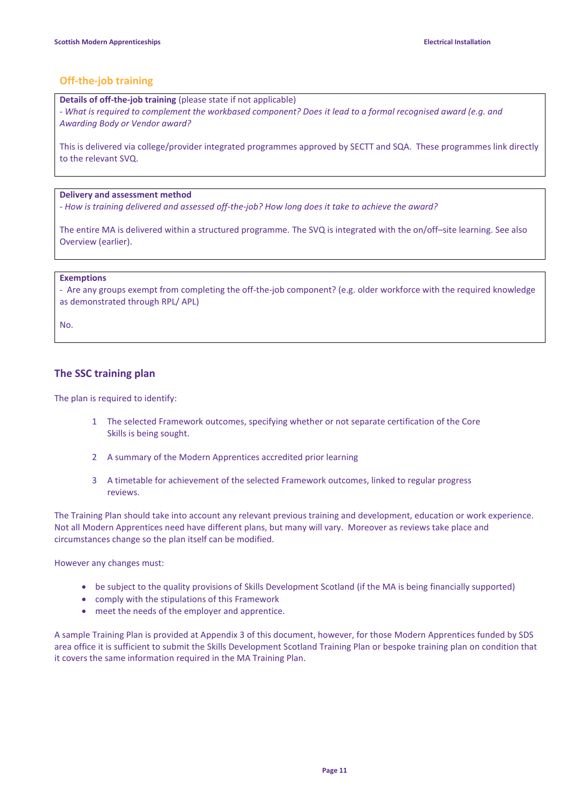### **Off-the-job training**

**Details of off-the-job training** (please state if not applicable)

*- What is required to complement the workbased component? Does it lead to a formal recognised award (e.g. and Awarding Body or Vendor award?*

This is delivered via college/provider integrated programmes approved by SECTT and SQA. These programmes link directly to the relevant SVQ.

### **Delivery and assessment method**

*- How is training delivered and assessed off-the-job? How long does it take to achieve the award?*

The entire MA is delivered within a structured programme. The SVQ is integrated with the on/off–site learning. See also Overview (earlier).

#### **Exemptions**

*-* Are any groups exempt from completing the off-the-job component? (e.g. older workforce with the required knowledge as demonstrated through RPL/ APL)

No.

### **The SSC training plan**

The plan is required to identify:

- 1 The selected Framework outcomes, specifying whether or not separate certification of the Core Skills is being sought.
- 2 A summary of the Modern Apprentices accredited prior learning
- 3 A timetable for achievement of the selected Framework outcomes, linked to regular progress reviews.

The Training Plan should take into account any relevant previous training and development, education or work experience. Not all Modern Apprentices need have different plans, but many will vary. Moreover as reviews take place and circumstances change so the plan itself can be modified.

However any changes must:

- be subject to the quality provisions of Skills Development Scotland (if the MA is being financially supported)
- comply with the stipulations of this Framework
- meet the needs of the employer and apprentice.

A sample Training Plan is provided at Appendix 3 of this document, however, for those Modern Apprentices funded by SDS area office it is sufficient to submit the Skills Development Scotland Training Plan or bespoke training plan on condition that it covers the same information required in the MA Training Plan.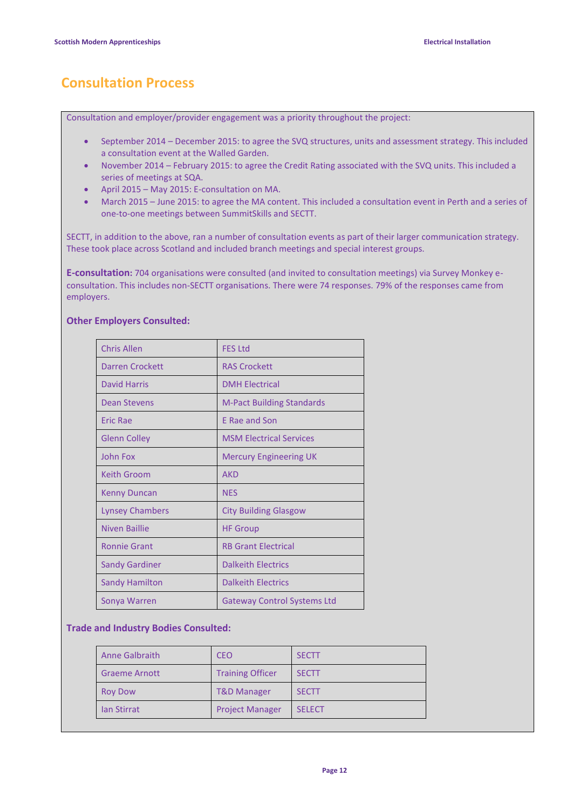# **Consultation Process**

Consultation and employer/provider engagement was a priority throughout the project:

- September 2014 December 2015: to agree the SVQ structures, units and assessment strategy. This included a consultation event at the Walled Garden.
- November 2014 February 2015: to agree the Credit Rating associated with the SVQ units. This included a series of meetings at SQA.
- April 2015 May 2015: E-consultation on MA.
- March 2015 June 2015: to agree the MA content. This included a consultation event in Perth and a series of one-to-one meetings between SummitSkills and SECTT.

SECTT, in addition to the above, ran a number of consultation events as part of their larger communication strategy. These took place across Scotland and included branch meetings and special interest groups.

**E-consultation:** 704 organisations were consulted (and invited to consultation meetings) via Survey Monkey econsultation. This includes non-SECTT organisations. There were 74 responses. 79% of the responses came from employers.

### **Other Employers Consulted:**

| <b>Chris Allen</b>     | <b>FES Ltd</b>                     |
|------------------------|------------------------------------|
| <b>Darren Crockett</b> | <b>RAS Crockett</b>                |
| <b>David Harris</b>    | <b>DMH Electrical</b>              |
| Dean Stevens           | <b>M-Pact Building Standards</b>   |
| <b>Eric Rae</b>        | E Rae and Son                      |
| <b>Glenn Colley</b>    | <b>MSM Electrical Services</b>     |
| <b>John Fox</b>        | <b>Mercury Engineering UK</b>      |
| <b>Keith Groom</b>     | <b>AKD</b>                         |
| <b>Kenny Duncan</b>    | <b>NES</b>                         |
| Lynsey Chambers        | <b>City Building Glasgow</b>       |
| Niven Baillie          | <b>HF Group</b>                    |
| <b>Ronnie Grant</b>    | <b>RB Grant Electrical</b>         |
| <b>Sandy Gardiner</b>  | <b>Dalkeith Electrics</b>          |
| <b>Sandy Hamilton</b>  | <b>Dalkeith Electrics</b>          |
| Sonya Warren           | <b>Gateway Control Systems Ltd</b> |

### **Trade and Industry Bodies Consulted:**

| <b>Anne Galbraith</b> | CEO                     | <b>SECTT</b>  |
|-----------------------|-------------------------|---------------|
| <b>Graeme Arnott</b>  | <b>Training Officer</b> | <b>SECTT</b>  |
| <b>Roy Dow</b>        | <b>T&amp;D Manager</b>  | <b>SECTT</b>  |
| <b>Ian Stirrat</b>    | <b>Project Manager</b>  | <b>SELECT</b> |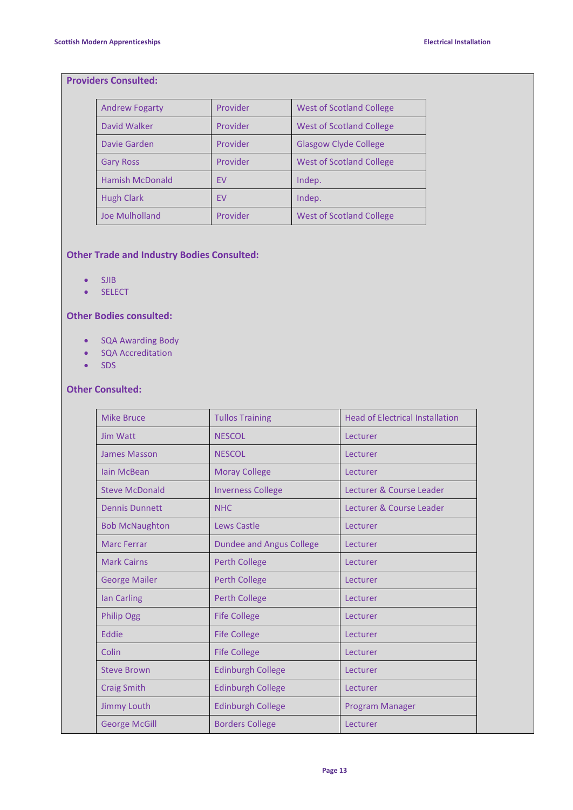### **Providers Consulted:**

| <b>Andrew Fogarty</b>  | Provider  | <b>West of Scotland College</b> |
|------------------------|-----------|---------------------------------|
| David Walker           | Provider  | <b>West of Scotland College</b> |
| Davie Garden           | Provider  | <b>Glasgow Clyde College</b>    |
| <b>Gary Ross</b>       | Provider  | <b>West of Scotland College</b> |
| <b>Hamish McDonald</b> | EV        | Indep.                          |
| <b>Hugh Clark</b>      | <b>FV</b> | Indep.                          |
| Joe Mulholland         | Provider  | <b>West of Scotland College</b> |

### **Other Trade and Industry Bodies Consulted:**

- $\bullet$  SJIB
- SELECT

### **Other Bodies consulted:**

- SQA Awarding Body
- SQA Accreditation
- $\bullet$  SDS

### **Other Consulted:**

| <b>Mike Bruce</b>     | <b>Tullos Training</b>          | <b>Head of Electrical Installation</b> |
|-----------------------|---------------------------------|----------------------------------------|
| Jim Watt              | <b>NESCOL</b>                   | Lecturer                               |
| James Masson          | <b>NESCOL</b>                   | Lecturer                               |
| <b>lain McBean</b>    | <b>Moray College</b>            | Lecturer                               |
| <b>Steve McDonald</b> | <b>Inverness College</b>        | Lecturer & Course Leader               |
| <b>Dennis Dunnett</b> | <b>NHC</b>                      | Lecturer & Course Leader               |
| <b>Bob McNaughton</b> | Lews Castle                     | Lecturer                               |
| <b>Marc Ferrar</b>    | <b>Dundee and Angus College</b> | Lecturer                               |
| <b>Mark Cairns</b>    | <b>Perth College</b>            | Lecturer                               |
| <b>George Mailer</b>  | <b>Perth College</b>            | Lecturer                               |
| <b>Ian Carling</b>    | <b>Perth College</b>            | Lecturer                               |
| <b>Philip Ogg</b>     | <b>Fife College</b>             | Lecturer                               |
| Eddie                 | <b>Fife College</b>             | Lecturer                               |
| Colin                 | <b>Fife College</b>             | Lecturer                               |
| <b>Steve Brown</b>    | <b>Edinburgh College</b>        | Lecturer                               |
| <b>Craig Smith</b>    | <b>Edinburgh College</b>        | Lecturer                               |
| <b>Jimmy Louth</b>    | <b>Edinburgh College</b>        | Program Manager                        |
| <b>George McGill</b>  | <b>Borders College</b>          | Lecturer                               |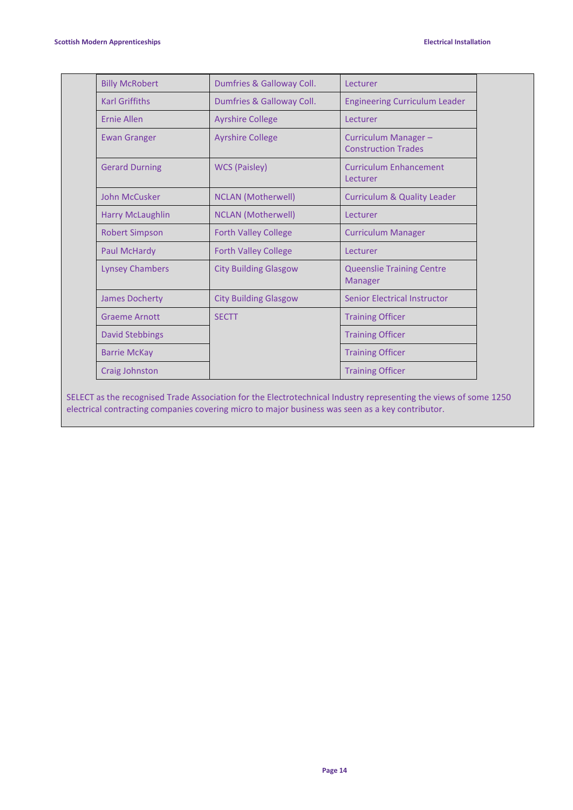| <b>Billy McRobert</b>   | Dumfries & Galloway Coll.    | Lecturer                                           |
|-------------------------|------------------------------|----------------------------------------------------|
| <b>Karl Griffiths</b>   | Dumfries & Galloway Coll.    | <b>Engineering Curriculum Leader</b>               |
| Ernie Allen             | <b>Ayrshire College</b>      | Lecturer                                           |
| <b>Ewan Granger</b>     | <b>Ayrshire College</b>      | Curriculum Manager-<br><b>Construction Trades</b>  |
| <b>Gerard Durning</b>   | <b>WCS (Paisley)</b>         | <b>Curriculum Enhancement</b><br>Lecturer          |
| John McCusker           | <b>NCLAN</b> (Motherwell)    | <b>Curriculum &amp; Quality Leader</b>             |
| <b>Harry McLaughlin</b> | <b>NCLAN</b> (Motherwell)    | Lecturer                                           |
| <b>Robert Simpson</b>   | <b>Forth Valley College</b>  | <b>Curriculum Manager</b>                          |
| <b>Paul McHardy</b>     | <b>Forth Valley College</b>  | Lecturer                                           |
| <b>Lynsey Chambers</b>  | <b>City Building Glasgow</b> | <b>Queenslie Training Centre</b><br><b>Manager</b> |
| <b>James Docherty</b>   | <b>City Building Glasgow</b> | Senior Electrical Instructor                       |
| <b>Graeme Arnott</b>    | <b>SECTT</b>                 | <b>Training Officer</b>                            |
| <b>David Stebbings</b>  |                              | <b>Training Officer</b>                            |
| <b>Barrie McKay</b>     |                              | <b>Training Officer</b>                            |
| Craig Johnston          |                              | <b>Training Officer</b>                            |

SELECT as the recognised Trade Association for the Electrotechnical Industry representing the views of some 1250 electrical contracting companies covering micro to major business was seen as a key contributor.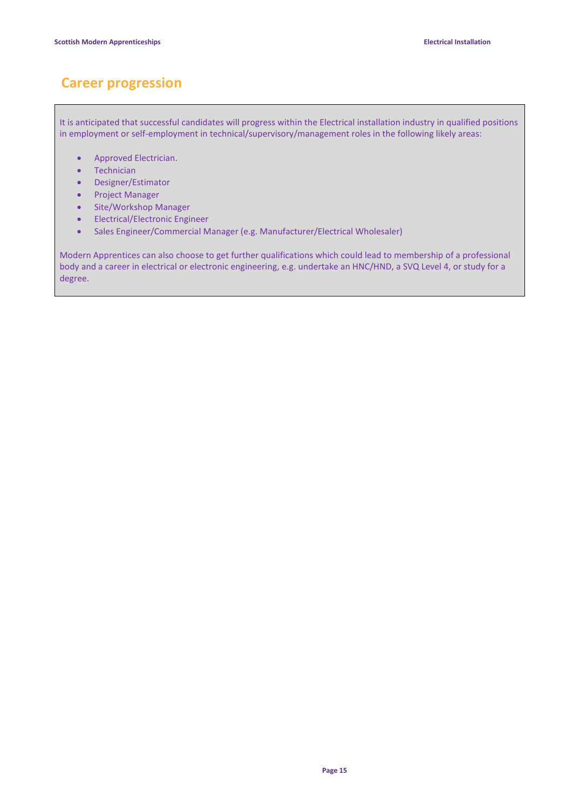# **Career progression**

It is anticipated that successful candidates will progress within the Electrical installation industry in qualified positions in employment or self-employment in technical/supervisory/management roles in the following likely areas:

- Approved Electrician.
- Technician
- Designer/Estimator
- Project Manager
- Site/Workshop Manager
- Electrical/Electronic Engineer
- Sales Engineer/Commercial Manager (e.g. Manufacturer/Electrical Wholesaler)

Modern Apprentices can also choose to get further qualifications which could lead to membership of a professional body and a career in electrical or electronic engineering, e.g. undertake an HNC/HND, a SVQ Level 4, or study for a degree.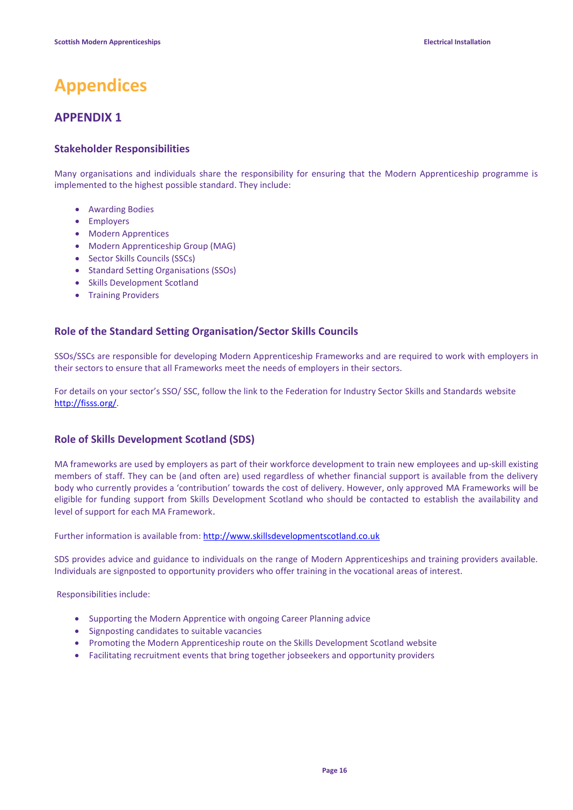# **Appendices**

### **APPENDIX 1**

### **Stakeholder Responsibilities**

Many organisations and individuals share the responsibility for ensuring that the Modern Apprenticeship programme is implemented to the highest possible standard. They include:

- Awarding Bodies
- Employers
- Modern Apprentices
- Modern Apprenticeship Group (MAG)
- Sector Skills Councils (SSCs)
- Standard Setting Organisations (SSOs)
- Skills Development Scotland
- Training Providers

### **Role of the Standard Setting Organisation/Sector Skills Councils**

SSOs/SSCs are responsible for developing Modern Apprenticeship Frameworks and are required to work with employers in their sectors to ensure that all Frameworks meet the needs of employers in their sectors.

For details on your sector's SSO/ SSC, follow the link to the Federation for Industry Sector Skills and Standards website [http://fisss.org/.](http://fisss.org/)

### **Role of Skills Development Scotland (SDS)**

MA frameworks are used by employers as part of their workforce development to train new employees and up-skill existing members of staff. They can be (and often are) used regardless of whether financial support is available from the delivery body who currently provides a 'contribution' towards the cost of delivery. However, only approved MA Frameworks will be eligible for funding support from Skills Development Scotland who should be contacted to establish the availability and level of support for each MA Framework.

Further information is available from[: http://www.skillsdevelopmentscotland.co.uk](http://www.skillsdevelopmentscotland.co.uk/our-services/modern-apprenticeships.aspx)

SDS provides advice and guidance to individuals on the range of Modern Apprenticeships and training providers available. Individuals are signposted to opportunity providers who offer training in the vocational areas of interest.

Responsibilities include:

- Supporting the Modern Apprentice with ongoing Career Planning advice
- Signposting candidates to suitable vacancies
- Promoting the Modern Apprenticeship route on the Skills Development Scotland website
- Facilitating recruitment events that bring together jobseekers and opportunity providers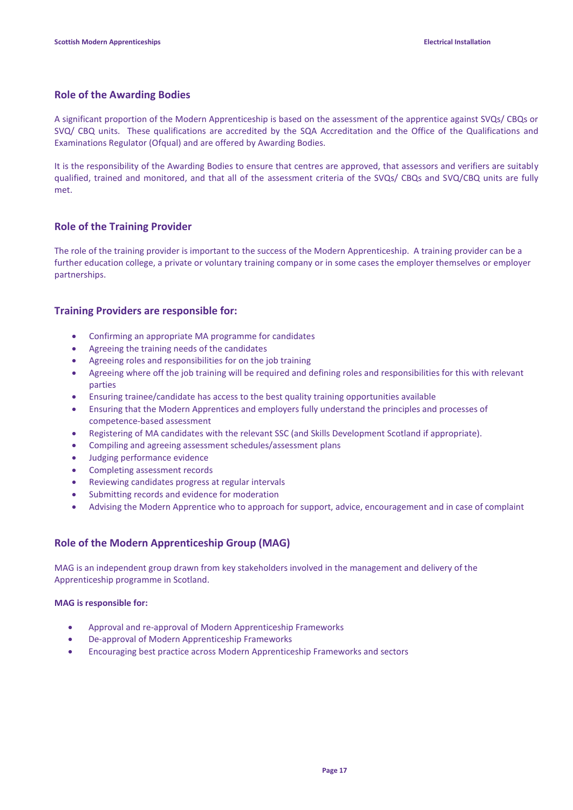### **Role of the Awarding Bodies**

A significant proportion of the Modern Apprenticeship is based on the assessment of the apprentice against SVQs/ CBQs or SVQ/ CBQ units. These qualifications are accredited by the SQA Accreditation and the Office of the Qualifications and Examinations Regulator (Ofqual) and are offered by Awarding Bodies.

It is the responsibility of the Awarding Bodies to ensure that centres are approved, that assessors and verifiers are suitably qualified, trained and monitored, and that all of the assessment criteria of the SVQs/ CBQs and SVQ/CBQ units are fully met.

### **Role of the Training Provider**

The role of the training provider is important to the success of the Modern Apprenticeship. A training provider can be a further education college, a private or voluntary training company or in some cases the employer themselves or employer partnerships.

### **Training Providers are responsible for:**

- Confirming an appropriate MA programme for candidates
- Agreeing the training needs of the candidates
- Agreeing roles and responsibilities for on the job training
- Agreeing where off the job training will be required and defining roles and responsibilities for this with relevant parties
- Ensuring trainee/candidate has access to the best quality training opportunities available
- Ensuring that the Modern Apprentices and employers fully understand the principles and processes of competence-based assessment
- Registering of MA candidates with the relevant SSC (and Skills Development Scotland if appropriate).
- Compiling and agreeing assessment schedules/assessment plans
- Judging performance evidence
- Completing assessment records
- Reviewing candidates progress at regular intervals
- Submitting records and evidence for moderation
- Advising the Modern Apprentice who to approach for support, advice, encouragement and in case of complaint

### **Role of the Modern Apprenticeship Group (MAG)**

MAG is an independent group drawn from key stakeholders involved in the management and delivery of the Apprenticeship programme in Scotland.

### **MAG is responsible for:**

- Approval and re-approval of Modern Apprenticeship Frameworks
- De-approval of Modern Apprenticeship Frameworks
- Encouraging best practice across Modern Apprenticeship Frameworks and sectors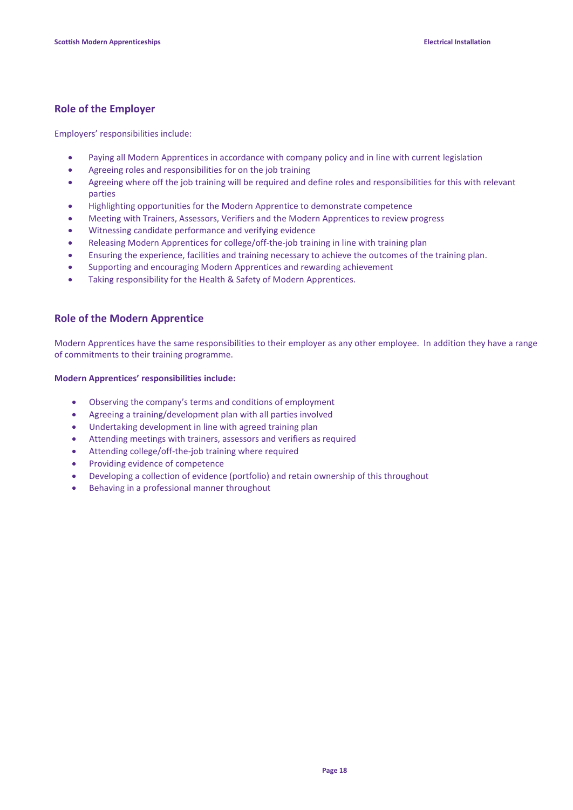### **Role of the Employer**

Employers' responsibilities include:

- Paying all Modern Apprentices in accordance with company policy and in line with current legislation
- Agreeing roles and responsibilities for on the job training
- Agreeing where off the job training will be required and define roles and responsibilities for this with relevant parties
- Highlighting opportunities for the Modern Apprentice to demonstrate competence
- Meeting with Trainers, Assessors, Verifiers and the Modern Apprentices to review progress
- Witnessing candidate performance and verifying evidence
- Releasing Modern Apprentices for college/off-the-job training in line with training plan
- Ensuring the experience, facilities and training necessary to achieve the outcomes of the training plan.
- Supporting and encouraging Modern Apprentices and rewarding achievement
- Taking responsibility for the Health & Safety of Modern Apprentices.

### **Role of the Modern Apprentice**

Modern Apprentices have the same responsibilities to their employer as any other employee. In addition they have a range of commitments to their training programme.

### **Modern Apprentices' responsibilities include:**

- Observing the company's terms and conditions of employment
- Agreeing a training/development plan with all parties involved
- Undertaking development in line with agreed training plan
- Attending meetings with trainers, assessors and verifiers as required
- Attending college/off-the-job training where required
- Providing evidence of competence
- Developing a collection of evidence (portfolio) and retain ownership of this throughout
- Behaving in a professional manner throughout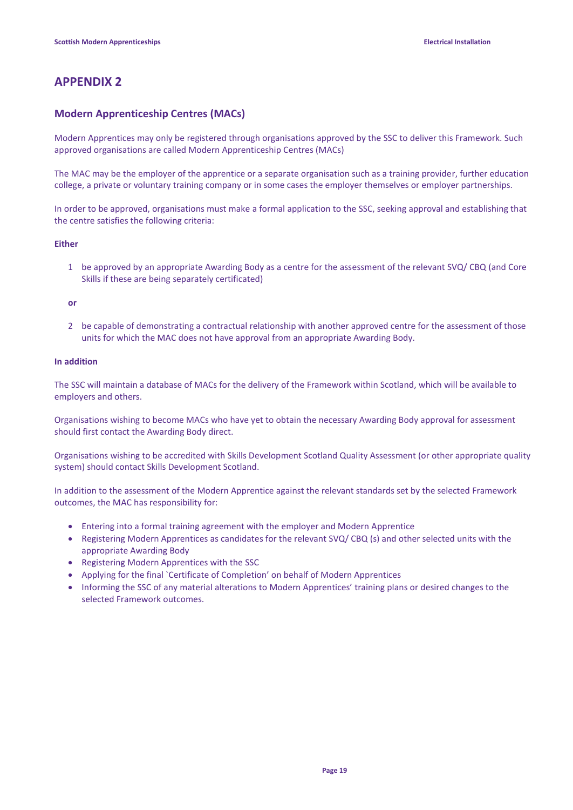### **APPENDIX 2**

### **Modern Apprenticeship Centres (MACs)**

Modern Apprentices may only be registered through organisations approved by the SSC to deliver this Framework. Such approved organisations are called Modern Apprenticeship Centres (MACs)

The MAC may be the employer of the apprentice or a separate organisation such as a training provider, further education college, a private or voluntary training company or in some cases the employer themselves or employer partnerships.

In order to be approved, organisations must make a formal application to the SSC, seeking approval and establishing that the centre satisfies the following criteria:

### **Either**

1 be approved by an appropriate Awarding Body as a centre for the assessment of the relevant SVQ/ CBQ (and Core Skills if these are being separately certificated)

#### **or**

2 be capable of demonstrating a contractual relationship with another approved centre for the assessment of those units for which the MAC does not have approval from an appropriate Awarding Body.

#### **In addition**

The SSC will maintain a database of MACs for the delivery of the Framework within Scotland, which will be available to employers and others.

Organisations wishing to become MACs who have yet to obtain the necessary Awarding Body approval for assessment should first contact the Awarding Body direct.

Organisations wishing to be accredited with Skills Development Scotland Quality Assessment (or other appropriate quality system) should contact Skills Development Scotland.

In addition to the assessment of the Modern Apprentice against the relevant standards set by the selected Framework outcomes, the MAC has responsibility for:

- Entering into a formal training agreement with the employer and Modern Apprentice
- Registering Modern Apprentices as candidates for the relevant SVQ/ CBQ (s) and other selected units with the appropriate Awarding Body
- Registering Modern Apprentices with the SSC
- Applying for the final `Certificate of Completion' on behalf of Modern Apprentices
- Informing the SSC of any material alterations to Modern Apprentices' training plans or desired changes to the selected Framework outcomes.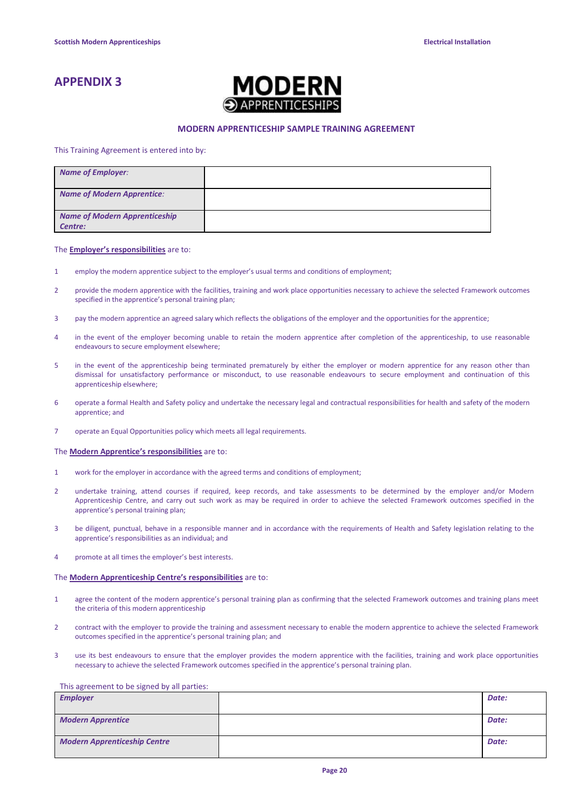### **APPENDIX 3**



#### **MODERN APPRENTICESHIP SAMPLE TRAINING AGREEMENT**

This Training Agreement is entered into by:

| <b>Name of Employer:</b>                        |  |
|-------------------------------------------------|--|
| <b>Name of Modern Apprentice:</b>               |  |
| <b>Name of Modern Apprenticeship</b><br>Centre: |  |

#### The **Employer's responsibilities** are to:

- 1 employ the modern apprentice subject to the employer's usual terms and conditions of employment;
- 2 provide the modern apprentice with the facilities, training and work place opportunities necessary to achieve the selected Framework outcomes specified in the apprentice's personal training plan;
- 3 pay the modern apprentice an agreed salary which reflects the obligations of the employer and the opportunities for the apprentice;
- 4 in the event of the employer becoming unable to retain the modern apprentice after completion of the apprenticeship, to use reasonable endeavours to secure employment elsewhere;
- 5 in the event of the apprenticeship being terminated prematurely by either the employer or modern apprentice for any reason other than dismissal for unsatisfactory performance or misconduct, to use reasonable endeavours to secure employment and continuation of this apprenticeship elsewhere;
- 6 operate a formal Health and Safety policy and undertake the necessary legal and contractual responsibilities for health and safety of the modern apprentice; and
- 7 operate an Equal Opportunities policy which meets all legal requirements.

#### The **Modern Apprentice's responsibilities** are to:

- 1 work for the employer in accordance with the agreed terms and conditions of employment;
- 2 undertake training, attend courses if required, keep records, and take assessments to be determined by the employer and/or Modern Apprenticeship Centre, and carry out such work as may be required in order to achieve the selected Framework outcomes specified in the apprentice's personal training plan;
- 3 be diligent, punctual, behave in a responsible manner and in accordance with the requirements of Health and Safety legislation relating to the apprentice's responsibilities as an individual; and
- 4 promote at all times the employer's best interests.

#### The **Modern Apprenticeship Centre's responsibilities** are to:

- 1 agree the content of the modern apprentice's personal training plan as confirming that the selected Framework outcomes and training plans meet the criteria of this modern apprenticeship
- 2 contract with the employer to provide the training and assessment necessary to enable the modern apprentice to achieve the selected Framework outcomes specified in the apprentice's personal training plan; and
- 3 use its best endeavours to ensure that the employer provides the modern apprentice with the facilities, training and work place opportunities necessary to achieve the selected Framework outcomes specified in the apprentice's personal training plan.

#### This agreement to be signed by all parties:

| <b>Employer</b>                     | Date: |
|-------------------------------------|-------|
| <b>Modern Apprentice</b>            | Date: |
| <b>Modern Apprenticeship Centre</b> | Date: |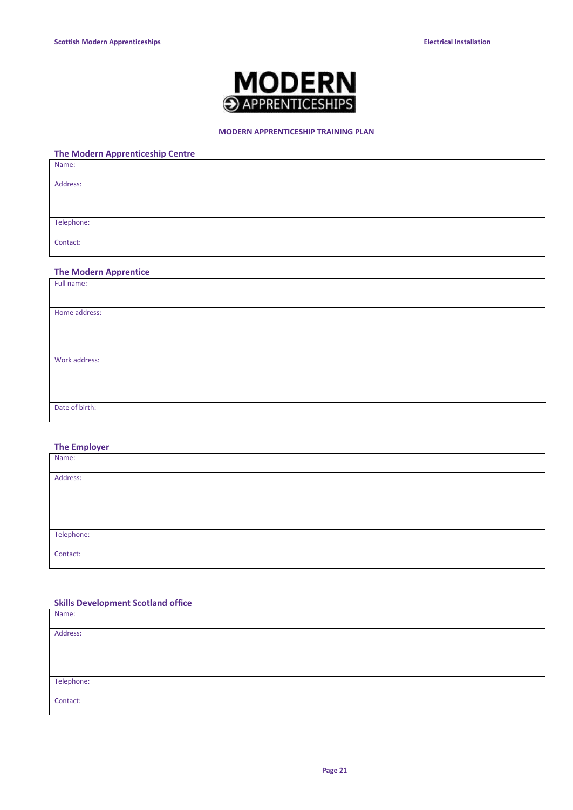

### **MODERN APPRENTICESHIP TRAINING PLAN**

# **The Modern Apprenticeship Centre** Name: Address: Telephone: Contact:

### **The Modern Apprentice**

| Full name:     |  |
|----------------|--|
|                |  |
|                |  |
| Home address:  |  |
|                |  |
|                |  |
|                |  |
|                |  |
| Work address:  |  |
|                |  |
|                |  |
|                |  |
|                |  |
| Date of birth: |  |
|                |  |
|                |  |

### **The Employer**

| Name:      |  |
|------------|--|
|            |  |
| Address:   |  |
|            |  |
|            |  |
|            |  |
|            |  |
|            |  |
|            |  |
| Telephone: |  |
|            |  |
| Contact:   |  |
|            |  |
|            |  |

### **Skills Development Scotland office**

| Name:      |  |
|------------|--|
| Address:   |  |
|            |  |
|            |  |
| Telephone: |  |
| Contact:   |  |